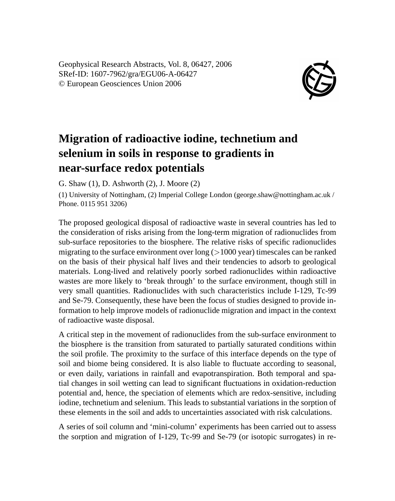Geophysical Research Abstracts, Vol. 8, 06427, 2006 SRef-ID: 1607-7962/gra/EGU06-A-06427 © European Geosciences Union 2006



## **Migration of radioactive iodine, technetium and selenium in soils in response to gradients in near-surface redox potentials**

G. Shaw (1), D. Ashworth (2), J. Moore (2)

(1) University of Nottingham, (2) Imperial College London (george.shaw@nottingham.ac.uk / Phone. 0115 951 3206)

The proposed geological disposal of radioactive waste in several countries has led to the consideration of risks arising from the long-term migration of radionuclides from sub-surface repositories to the biosphere. The relative risks of specific radionuclides migrating to the surface environment over long  $(>1000 \text{ year})$  timescales can be ranked on the basis of their physical half lives and their tendencies to adsorb to geological materials. Long-lived and relatively poorly sorbed radionuclides within radioactive wastes are more likely to 'break through' to the surface environment, though still in very small quantities. Radionuclides with such characteristics include I-129, Tc-99 and Se-79. Consequently, these have been the focus of studies designed to provide information to help improve models of radionuclide migration and impact in the context of radioactive waste disposal.

A critical step in the movement of radionuclides from the sub-surface environment to the biosphere is the transition from saturated to partially saturated conditions within the soil profile. The proximity to the surface of this interface depends on the type of soil and biome being considered. It is also liable to fluctuate according to seasonal, or even daily, variations in rainfall and evapotranspiration. Both temporal and spatial changes in soil wetting can lead to significant fluctuations in oxidation-reduction potential and, hence, the speciation of elements which are redox-sensitive, including iodine, technetium and selenium. This leads to substantial variations in the sorption of these elements in the soil and adds to uncertainties associated with risk calculations.

A series of soil column and 'mini-column' experiments has been carried out to assess the sorption and migration of I-129, Tc-99 and Se-79 (or isotopic surrogates) in re